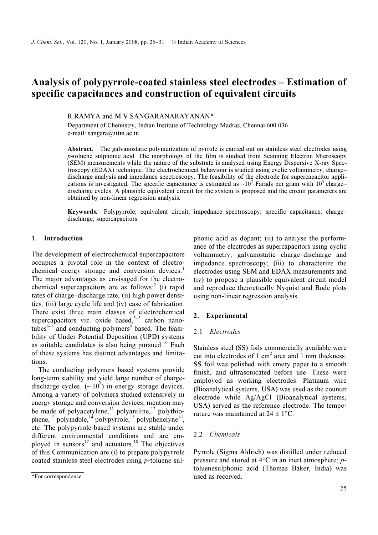# Analysis of polypyrrole-coated stainless steel electrodes – Estimation of specific capacitances and construction of equivalent circuits

## R RAMYA and M V SANGARANARAYANAN\*

Department of Chemistry, Indian Institute of Technology Madras, Chennai 600 036 e-mail: sangara@iitm.ac.in

Abstract. The galvanostatic polymerization of pyrrole is carried out on stainless steel electrodes using p-toluene sulphonic acid. The morphology of the film is studied from Scanning Electron Microscopy (SEM) measurements while the nature of the substrate is analysed using Energy Dispersive X-ray Spectroscopy (EDAX) technique. The electrochemical behaviour is studied using cyclic voltammetry, charge– discharge analysis and impedance spectroscopy. The feasibility of the electrode for supercapacitor applications is investigated. The specific capacitance is estimated as  $\sim 10^2$  Farads per gram with  $10^3$  charge– discharge cycles. A plausible equivalent circuit for the system is proposed and the circuit parameters are obtained by non-linear regression analysis.

Keywords. Polypyrrole; equivalent circuit; impedance spectroscopy; specific capacitance; charge– discharge; supercapacitors.

### 1. Introduction

The development of electrochemical supercapacitors occupies a pivotal role in the context of electrochemical energy storage and conversion devices.<sup>1</sup> The major advantages as envisaged for the electrochemical supercapacitors are as  $\overline{\text{follows:}}^2$  (i) rapid rates of charge–discharge rate, (ii) high power densities, (iii) large cycle life and (iv) ease of fabrication. There exist three main classes of electrochemical supercapacitors viz. oxide based.<sup>3–5</sup> carbon nanotubes<sup>6-8</sup> and conducting polymers<sup>9</sup> based. The feasibility of Under Potential Deposition (UPD) systems as suitable candidates is also being pursued.<sup>10</sup> Each of these systems has distinct advantages and limitations.

 The conducting polymers based systems provide long-term stability and yield large number of chargedischarge cycles.  $({\sim}10^6)$  in energy storage devices. Among a variety of polymers studied extensively in energy storage and conversion devices, mention may be made of polyacetylene,<sup>11</sup> polyaniline,<sup>12</sup> polythiophene,<sup>13</sup> polyindole,<sup>14</sup> polypyrrole,<sup>15</sup> polyphenelyne<sup>16</sup>, etc. The polypyrrole-based systems are stable under different environmental conditions and are employed in sensors<sup>17</sup> and actuators.<sup>18</sup> The objectives of this Communication are (i) to prepare polypyrrole coated stainless steel electrodes using p-toluene sulphonic acid as dopant; (ii) to analyse the performance of the electrodes as supercapacitors using cyclic voltammetry, galvanostatic charge–discharge and impedance spectroscopy; (iii) to characterize the electrodes using SEM and EDAX measurements and (iv) to propose a plausible equivalent circuit model and reproduce theoretically Nyquist and Bode plots using non-linear regression analysis.

# 2. Experimental

## 2.1 Electrodes

Stainless steel (SS) foils commercially available were cut into electrodes of 1 cm<sup>2</sup> area and 1 mm thickness. SS foil was polished with emery paper to a smooth finish, and ultrasonicated before use. These were employed as working electrodes. Platinum wire (Bioanalytical systems, USA) was used as the counter electrode while Ag/AgCl (Bioanalytical systems, USA) served as the reference electrode. The temperature was maintained at  $24 \pm 1$  °C.

#### 2.2 Chemicals

Pyrrole (Sigma Aldrich) was distilled under reduced pressure and stored at  $4^{\circ}$ C in an inert atmosphere; *p*toluenesulphonic acid (Thomas Baker, India) was used as received.

<sup>\*</sup>For correspondence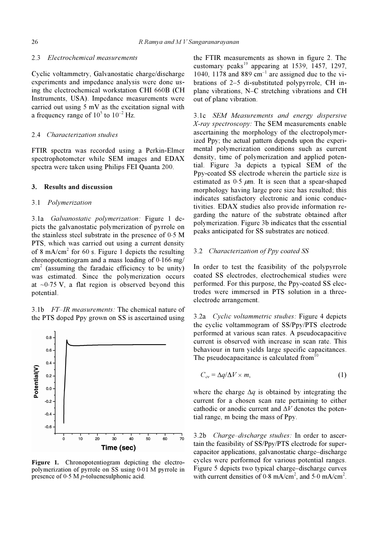# 2.3 Electrochemical measurements

Cyclic voltammetry, Galvanostatic charge/discharge experiments and impedance analysis were done using the electrochemical workstation CHI 660B (CH Instruments, USA). Impedance measurements were carried out using 5 mV as the excitation signal with a frequency range of  $10^5$  to  $10^{-2}$  Hz.

### 2.4 Characterization studies

FTIR spectra was recorded using a Perkin-Elmer spectrophotometer while SEM images and EDAX spectra were taken using Philips FEI Quanta 200.

#### 3. Results and discussion

#### 3.1 Polymerization

3.1a Galvanostatic polymerization: Figure 1 depicts the galvanostatic polymerization of pyrrole on the stainless steel substrate in the presence of 0⋅5 M PTS, which was carried out using a current density of 8 mA/cm<sup>2</sup> for 60 s. Figure 1 depicts the resulting chronopotentiogram and a mass loading of 0⋅166 mg/  $\text{cm}^2$  (assuming the faradaic efficiency to be unity) was estimated. Since the polymerization occurs at ~0⋅75 V, a flat region is observed beyond this potential.

3.1b FT–IR measurements: The chemical nature of the PTS doped Ppy grown on SS is ascertained using



Figure 1. Chronopotentiogram depicting the electropolymerization of pyrrole on SS using 0⋅01 M pyrrole in presence of 0⋅5 M p-toluenesulphonic acid.

the FTIR measurements as shown in figure 2. The customary peaks<sup>19</sup> appearing at 1539,  $\overline{1}457$ , 1297, 1040, 1178 and 889  $cm^{-1}$  are assigned due to the vibrations of 2–5 di-substituted polypyrrole, CH inplane vibrations, N–C stretching vibrations and CH out of plane vibration.

3.1c SEM Measurements and energy dispersive X-ray spectroscopy: The SEM measurements enable ascertaining the morphology of the electropolymerized Ppy; the actual pattern depends upon the experimental polymerization conditions such as current density, time of polymerization and applied potential. Figure 3a depicts a typical SEM of the Ppy-coated SS electrode wherein the particle size is estimated as  $0.5 \mu m$ . It is seen that a spear-shaped morphology having large pore size has resulted; this indicates satisfactory electronic and ionic conductivities. EDAX studies also provide information regarding the nature of the substrate obtained after polymerization. Figure 3b indicates that the essential peaks anticipated for SS substrates are noticed.

### 3.2 Characterization of Ppy coated SS

In order to test the feasibility of the polypyrrole coated SS electrodes, electrochemical studies were performed. For this purpose, the Ppy-coated SS electrodes were immersed in PTS solution in a threeelectrode arrangement.

3.2a Cyclic voltammetric studies: Figure 4 depicts the cyclic voltammogram of SS/Ppy/PTS electrode performed at various scan rates. A pseudocapacitive current is observed with increase in scan rate. This behaviour in turn yields large specific capacitances. The pseudocapacitance is calculated from  $10$ 

$$
C_{cv} = \Delta q / \Delta V \times m, \qquad (1)
$$

where the charge  $\Delta q$  is obtained by integrating the current for a chosen scan rate pertaining to either cathodic or anodic current and  $\Delta V$  denotes the potential range, m being the mass of Ppy.

3.2b Charge–discharge studies: In order to ascertain the feasibility of SS/Ppy/PTS electrode for supercapacitor applications, galvanostatic charge–discharge cycles were performed for various potential ranges. Figure 5 depicts two typical charge–discharge curves with current densities of  $0.8 \text{ mA/cm}^2$ , and  $5.0 \text{ mA/cm}^2$ .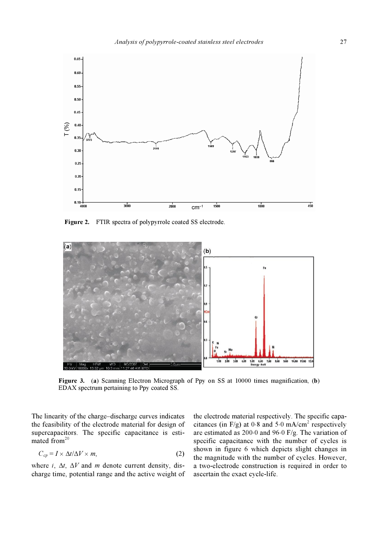

Figure 2. FTIR spectra of polypyrrole coated SS electrode.



Figure 3. (a) Scanning Electron Micrograph of Ppy on SS at 10000 times magnification, (b) EDAX spectrum pertaining to Ppy coated SS.

The linearity of the charge–discharge curves indicates the feasibility of the electrode material for design of supercapacitors. The specific capacitance is estimated from $^{20}$ 

$$
C_{cp} = I \times \Delta t / \Delta V \times m,
$$
 (2)

where i,  $\Delta t$ ,  $\Delta V$  and m denote current density, discharge time, potential range and the active weight of the electrode material respectively. The specific capacitances (in F/g) at  $0.8$  and  $5.0$  mA/cm<sup>2</sup> respectively are estimated as 200⋅0 and 96⋅0 F/g. The variation of specific capacitance with the number of cycles is shown in figure 6 which depicts slight changes in the magnitude with the number of cycles. However, a two-electrode construction is required in order to ascertain the exact cycle-life.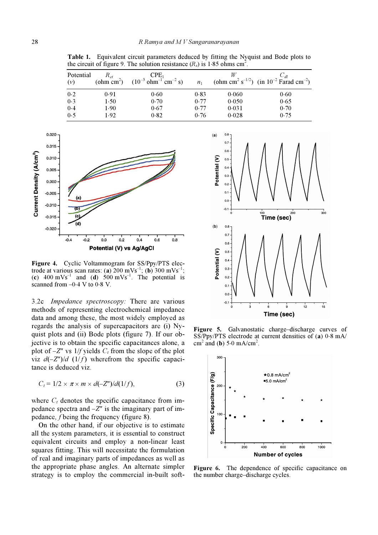Table 1. Equivalent circuit parameters deduced by fitting the Nyquist and Bode plots to the circuit of figure 9. The solution resistance  $(R_s)$  is 1⋅85 ohms cm<sup>2</sup>.

| Potential<br>(v) | $R_{ct}$ | CPE <sub>1</sub><br>(ohm cm <sup>2</sup> ) $(10^{-3} \text{ ohm}^{-1} \text{ cm}^{-2} \text{ s})$ | n <sub>1</sub> |       | $C_{dl}$<br>(ohm cm <sup>2</sup> s <sup>-1/2</sup> ) (in 10 <sup>-2</sup> Farad cm <sup>-2</sup> ) |
|------------------|----------|---------------------------------------------------------------------------------------------------|----------------|-------|----------------------------------------------------------------------------------------------------|
| 0.2              | 0.91     | 0.60                                                                                              | 0.83           | 0.060 | 0.60                                                                                               |
| 0.3              | 1.50     | 0.70                                                                                              | 0.77           | 0.050 | 0.65                                                                                               |
| 0.4              | 1.90     | 0.67                                                                                              | 0.77           | 0.031 | 0.70                                                                                               |
| 0.5              | 1.92     | 0.82                                                                                              | 0.76           | 0.028 | 0.75                                                                                               |



Figure 4. Cyclic Voltammogram for SS/Ppy/PTS electrode at various scan rates: (a)  $200 \text{ mVs}^{-1}$ ; (b)  $300 \text{ mVs}^{-1}$ ; (c)  $400 \text{ mVs}^{-1}$  and (d)  $500 \text{ mVs}^{-1}$ . The potential is scanned from  $-0.4$  V to  $0.8$  V.

3.2c Impedance spectroscopy: There are various methods of representing electrochemical impedance data and among these, the most widely employed as regards the analysis of supercapacitors are (i) Nyquist plots and (ii) Bode plots (figure 7). If our objective is to obtain the specific capacitances alone, a plot of  $-Z''$  vs 1/f yields  $C_t$  from the slope of the plot viz  $d(-Z'')/d$  (1/f) wherefrom the specific capacitance is deduced viz.

$$
C_t = 1/2 \times \pi \times m \times d(-Z'')/d(1/f), \qquad (3)
$$

where  $C_t$  denotes the specific capacitance from impedance spectra and  $-Z''$  is the imaginary part of impedance, f being the frequency (figure 8).

 On the other hand, if our objective is to estimate all the system parameters, it is essential to construct equivalent circuits and employ a non-linear least squares fitting. This will necessitate the formulation of real and imaginary parts of impedances as well as the appropriate phase angles. An alternate simpler strategy is to employ the commercial in-built soft-



Figure 5. Galvanostatic charge–discharge curves of SS/Ppy/PTS electrode at current densities of (a) 0⋅8 mA/  $\text{cm}^2$  and (b) 5⋅0 mA/cm<sup>2</sup>.



Figure 6. The dependence of specific capacitance on the number charge–discharge cycles.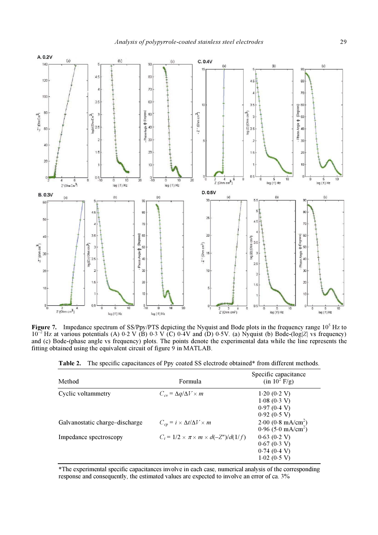

Figure 7. Impedance spectrum of SS/Ppy/PTS depicting the Nyquist and Bode plots in the frequency range  $10^5$  Hz to  $10^{22}$  Hz at various potentials (A) 0⋅2 V (B) 0⋅3 V (C) 0⋅4V and (D) 0⋅5V. (a) Nyquist (b) Bode-(log|Z| vs frequency) and (c) Bode-(phase angle vs frequency) plots. The points denote the experimental data while the line represents the fitting obtained using the equivalent circuit of figure  $\overline{9}$  in MATLAB.

| Table 2. The specific capacitances of Ppy coated SS electrode obtained* from different methods. |  |  |  |  |
|-------------------------------------------------------------------------------------------------|--|--|--|--|
|-------------------------------------------------------------------------------------------------|--|--|--|--|

| Method                         | Formula                                               | Specific capacitance<br>$(in 10^2 F/g)$ |
|--------------------------------|-------------------------------------------------------|-----------------------------------------|
| Cyclic voltammetry             | $C_{cv} = \Delta q / \Delta V \times m$               | 1.20(0.2 V)                             |
|                                |                                                       | 1.08(0.3 V)                             |
|                                |                                                       | 0.97(0.4 V)                             |
|                                |                                                       | 0.92(0.5 V)                             |
| Galvanostatic charge-discharge | $C_{cp} = i \times \Delta t / \Delta V \times m$      | $2.00~(0.8~mA/cm^2)$                    |
|                                |                                                       | $0.96(5.0 \text{ mA/cm}^2)$             |
| Impedance spectroscopy         | $C_t = 1/2 \times \pi \times m \times d(-Z'')/d(1/f)$ | 0.63(0.2 V)                             |
|                                |                                                       | 0.67(0.3 V)                             |
|                                |                                                       | 0.74(0.4 V)                             |
|                                |                                                       | 1.02(0.5 V)                             |

\*The experimental specific capacitances involve in each case, numerical analysis of the corresponding response and consequently, the estimated values are expected to involve an error of ca. 3%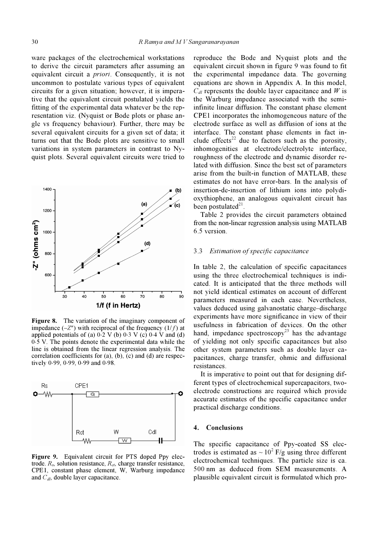ware packages of the electrochemical workstations to derive the circuit parameters after assuming an equivalent circuit a priori. Consequently, it is not uncommon to postulate various types of equivalent circuits for a given situation; however, it is imperative that the equivalent circuit postulated yields the fitting of the experimental data whatever be the representation viz. (Nyquist or Bode plots or phase angle vs frequency behaviour). Further, there may be several equivalent circuits for a given set of data; it turns out that the Bode plots are sensitive to small variations in system parameters in contrast to Nyquist plots. Several equivalent circuits were tried to



Figure 8. The variation of the imaginary component of impedance  $(-Z'')$  with reciprocal of the frequency  $(1/f)$  at applied potentials of (a)  $0.2 \text{ V}$  (b)  $0.3 \text{ V}$  (c)  $0.4 \text{ V}$  and (d) 0⋅5 V. The points denote the experimental data while the line is obtained from the linear regression analysis. The correlation coefficients for (a), (b), (c) and (d) are respectively 0⋅99, 0⋅99, 0⋅99 and 0⋅98.



Figure 9. Equivalent circuit for PTS doped Ppy electrode.  $R_s$ , solution resistance,  $R_{ct}$ , charge transfer resistance, CPE1, constant phase element, W, Warburg impedance and  $C_{d_l}$ , double layer capacitance.

reproduce the Bode and Nyquist plots and the equivalent circuit shown in figure 9 was found to fit the experimental impedance data. The governing equations are shown in Appendix A. In this model,  $C_{dl}$  represents the double layer capacitance and W is the Warburg impedance associated with the semiinfinite linear diffusion. The constant phase element CPE1 incorporates the inhomogeneous nature of the electrode surface as well as diffusion of ions at the interface. The constant phase elements in fact include effects<sup>22</sup> due to factors such as the porosity, inhomogenities at electrode/electrolyte interface, roughness of the electrode and dynamic disorder related with diffusion. Since the best set of parameters arise from the built-in function of MATLAB, these estimates do not have error-bars. In the analysis of insertion-de-insertion of lithium ions into polydioxythiophene, an analogous equivalent circuit has been postulated $21$ .

 Table 2 provides the circuit parameters obtained from the non-linear regression analysis using MATLAB 6.5 version.

#### 3.3 Estimation of specific capacitance

In table 2, the calculation of specific capacitances using the three electrochemical techniques is indicated. It is anticipated that the three methods will not yield identical estimates on account of different parameters measured in each case. Nevertheless, values deduced using galvanostatic charge–discharge experiments have more significance in view of their usefulness in fabrication of devices. On the other hand, impedance spectroscopy<sup>23</sup> has the advantage of yielding not only specific capacitances but also other system parameters such as double layer capacitances, charge transfer, ohmic and diffusional resistances.

 It is imperative to point out that for designing different types of electrochemical supercapacitors, twoelectrode constructions are required which provide accurate estimates of the specific capacitance under practical discharge conditions.

### 4. Conclusions

The specific capacitance of Ppy-coated SS electrodes is estimated as  $\sim 10^2$  F/g using three different electrochemical techniques. The particle size is ca. 500 nm as deduced from SEM measurements. A plausible equivalent circuit is formulated which pro